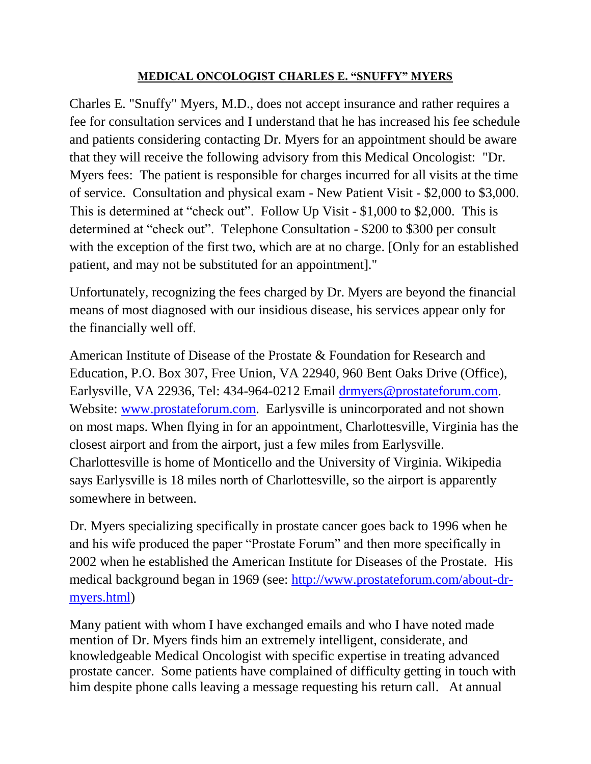## **MEDICAL ONCOLOGIST CHARLES E. "SNUFFY" MYERS**

Charles E. "Snuffy" Myers, M.D., does not accept insurance and rather requires a fee for consultation services and I understand that he has increased his fee schedule and patients considering contacting Dr. Myers for an appointment should be aware that they will receive the following advisory from this Medical Oncologist: "Dr. Myers fees: The patient is responsible for charges incurred for all visits at the time of service.Consultation and physical exam - New Patient Visit - \$2,000 to \$3,000. This is determined at "check out". Follow Up Visit - \$1,000 to \$2,000. This is determined at "check out".Telephone Consultation - \$200 to \$300 per consult with the exception of the first two, which are at no charge. [Only for an established patient, and may not be substituted for an appointment]."

Unfortunately, recognizing the fees charged by Dr. Myers are beyond the financial means of most diagnosed with our insidious disease, his services appear only for the financially well off.

American Institute of Disease of the Prostate & Foundation for Research and Education, P.O. Box 307, Free Union, VA 22940, 960 Bent Oaks Drive (Office), Earlysville, VA 22936, Tel: 434-964-0212 Email [drmyers@prostateforum.com.](mailto:drmyers@prostateforum.com) Website: [www.prostateforum.com.](http://www.prostateforum.com/) Earlysville is unincorporated and not shown on most maps. When flying in for an appointment, Charlottesville, Virginia has the closest airport and from the airport, just a few miles from Earlysville. Charlottesville is home of Monticello and the University of Virginia. Wikipedia says Earlysville is 18 miles north of Charlottesville, so the airport is apparently somewhere in between.

Dr. Myers specializing specifically in prostate cancer goes back to 1996 when he and his wife produced the paper "Prostate Forum" and then more specifically in 2002 when he established the American Institute for Diseases of the Prostate. His medical background began in 1969 (see: [http://www.prostateforum.com/about-dr](http://www.prostateforum.com/about-dr-myers.html)[myers.html\)](http://www.prostateforum.com/about-dr-myers.html)

Many patient with whom I have exchanged emails and who I have noted made mention of Dr. Myers finds him an extremely intelligent, considerate, and knowledgeable Medical Oncologist with specific expertise in treating advanced prostate cancer. Some patients have complained of difficulty getting in touch with him despite phone calls leaving a message requesting his return call. At annual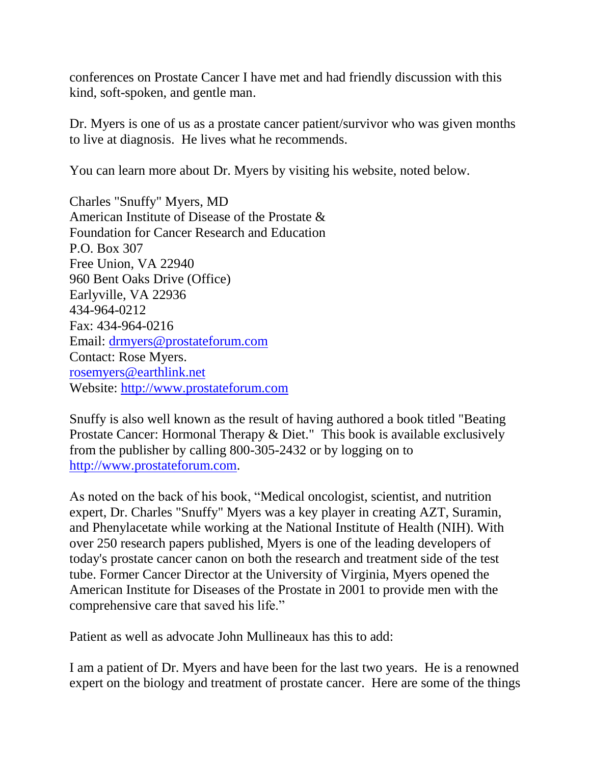conferences on Prostate Cancer I have met and had friendly discussion with this kind, soft-spoken, and gentle man.

Dr. Myers is one of us as a prostate cancer patient/survivor who was given months to live at diagnosis. He lives what he recommends.

You can learn more about Dr. Myers by visiting his website, noted below.

Charles "Snuffy" Myers, MD American Institute of Disease of the Prostate & Foundation for Cancer Research and Education P.O. Box 307 Free Union, VA 22940 960 Bent Oaks Drive (Office) Earlyville, VA 22936 434-964-0212 Fax: 434-964-0216 Email: [drmyers@prostateforum.com](mailto:drmyers@prostateforum.com) Contact: Rose Myers. rosemyers@earthlink.net Website: [http://www.prostateforum.com](http://www.prostateforum.com/)

Snuffy is also well known as the result of having authored a book titled "Beating Prostate Cancer: Hormonal Therapy & Diet." This book is available exclusively from the publisher by calling 800-305-2432 or by logging on to http://www.prostateforum.com.

As noted on the back of his book, "Medical oncologist, scientist, and nutrition expert, Dr. Charles "Snuffy" Myers was a key player in creating AZT, Suramin, and Phenylacetate while working at the National Institute of Health (NIH). With over 250 research papers published, Myers is one of the leading developers of today's prostate cancer canon on both the research and treatment side of the test tube. Former Cancer Director at the University of Virginia, Myers opened the American Institute for Diseases of the Prostate in 2001 to provide men with the comprehensive care that saved his life."

Patient as well as advocate John Mullineaux has this to add:

I am a patient of Dr. Myers and have been for the last two years. He is a renowned expert on the biology and treatment of prostate cancer. Here are some of the things